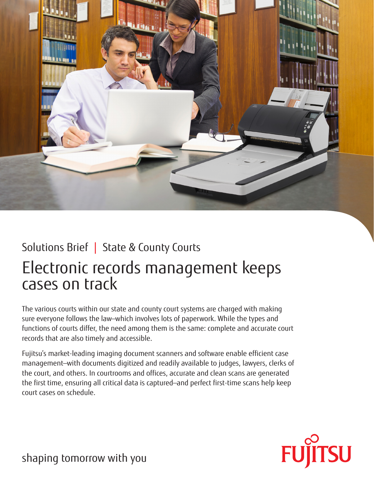

## Solutions Brief | State & County Courts

# Electronic records management keeps cases on track

The various courts within our state and county court systems are charged with making sure everyone follows the law—which involves lots of paperwork. While the types and functions of courts differ, the need among them is the same: complete and accurate court records that are also timely and accessible.

Fujitsu's market-leading imaging document scanners and software enable efficient case management—with documents digitized and readily available to judges, lawyers, clerks of the court, and others. In courtrooms and offices, accurate and clean scans are generated the first time, ensuring all critical data is captured—and perfect first-time scans help keep court cases on schedule.



shaping tomorrow with you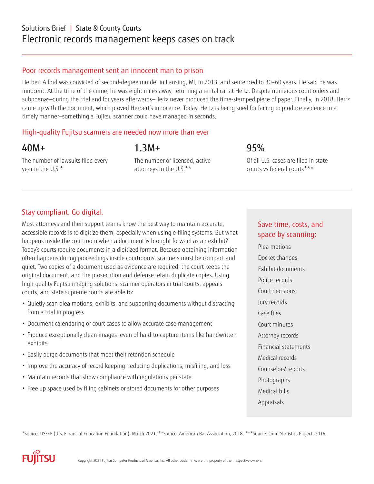### Solutions Brief | State & County Courts Electronic records management keeps cases on track

#### Poor records management sent an innocent man to prison

Herbert Alford was convicted of second-degree murder in Lansing, MI, in 2013, and sentenced to 30–60 years. He said he was innocent. At the time of the crime, he was eight miles away, returning a rental car at Hertz. Despite numerous court orders and subpoenas—during the trial and for years afterwards—Hertz never produced the time-stamped piece of paper. Finally, in 2018, Hertz came up with the document, which proved Herbert's innocence. Today, Hertz is being sued for failing to produce evidence in a timely manner—something a Fujitsu scanner could have managed in seconds.

#### High-quality Fujitsu scanners are needed now more than ever

### 40M+

The number of lawsuits filed every year in the U.S.\*

The number of licensed, active attorneys in the U.S.\*\*

1.3M+

95%

Of all U.S. cases are filed in state courts vs federal courts\*\*\*

### Stay compliant. Go digital.

Most attorneys and their support teams know the best way to maintain accurate, accessible records is to digitize them, especially when using e-filing systems. But what happens inside the courtroom when a document is brought forward as an exhibit? Today's courts require documents in a digitized format. Because obtaining information often happens during proceedings inside courtrooms, scanners must be compact and quiet. Two copies of a document used as evidence are required; the court keeps the original document, and the prosecution and defense retain duplicate copies. Using high-quality Fujitsu imaging solutions, scanner operators in trial courts, appeals courts, and state supreme courts are able to:

- Quietly scan plea motions, exhibits, and supporting documents without distracting from a trial in progress
- Document calendaring of court cases to allow accurate case management
- Produce exceptionally clean images—even of hard-to-capture items like handwritten exhibits
- Easily purge documents that meet their retention schedule
- Improve the accuracy of record keeping—reducing duplications, misfiling, and loss
- Maintain records that show compliance with regulations per state
- Free up space used by filing cabinets or stored documents for other purposes

#### Save time, costs, and space by scanning:

Plea motions Docket changes Exhibit documents Police records Court decisions Jury records Case files Court minutes Attorney records Financial statements Medical records Counselors' reports Photographs Medical bills Appraisals

\*Source: USFEF (U.S. Financial Education Foundation), March 2021. \*\*Source: American Bar Association, 2018. \*\*\*Source: Court Statistics Project, 2016.